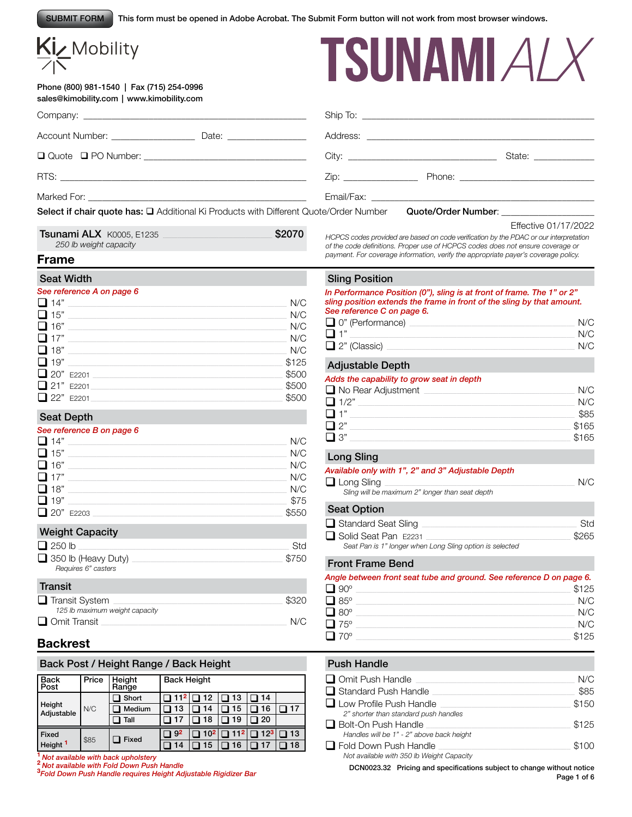This form must be opened in Adobe Acrobat. The Submit Form button will not work from most browser windows. SUBMIT FORM

# Kiz Mobility

#### Phone (800) 981-1540 | Fax (715) 254-0996 sales@kimobility.com | www.kimobility.com



| Account Number: ____________________________ Date: _____________________________                                |                                                                                                                                                                                                                               |                                           |
|-----------------------------------------------------------------------------------------------------------------|-------------------------------------------------------------------------------------------------------------------------------------------------------------------------------------------------------------------------------|-------------------------------------------|
|                                                                                                                 |                                                                                                                                                                                                                               | State: ______________                     |
|                                                                                                                 | Zip: Phone: Phone: Phone: Phone: Phone: Phone: Phone: Phone: Phone: Phone: Phone: Phone: Phone: Phone: Phone: Phone: Phone: Phone: Phone: Phone: Phone: Phone: Phone: Phone: Phone: Phone: Phone: Phone: Phone: Phone: Phone: |                                           |
|                                                                                                                 |                                                                                                                                                                                                                               |                                           |
| <b>Select if chair quote has: <math>\square</math></b> Additional Ki Products with Different Quote/Order Number |                                                                                                                                                                                                                               | Quote/Order Number: _____________________ |

| Tsunami ALX K0005, E1235 | \$2070 |
|--------------------------|--------|
| 250 lb weight capacity   |        |

Effective 01/17/2022

*HCPCS codes provided are based on code verification by the PDAC or our interpretation of the code definitions. Proper use of HCPCS codes does not ensure coverage or payment. For coverage information, verify the appropriate payer's coverage policy.*

# **Frame**

#### Seat Width

#### *See reference A on page 6*

| $\Box$ 14" | N/C   |
|------------|-------|
| $\Box$ 15" | N/C   |
| $\Box$ 16" | N/C   |
| $\Box$ 17" | N/C   |
| $\Box$ 18" | N/C   |
| $\Box$ 19" | \$125 |
| 20" E2201  | \$500 |
| 21" E2201  | \$500 |
| 22" E2201  | \$500 |

#### Seat Depth

#### *See reference B on page 6*

| $\Box$ 14" | N/C   |
|------------|-------|
| $\Box$ 15" | N/C   |
| $\Box$ 16" | N/C   |
| $\Box$ 17" | N/C   |
| $\Box$ 18" | N/C   |
| $\Box$ 19" | \$75  |
| 20" E2203  | \$550 |

#### Weight Capacity

| $\Box$ 250 lb                                     |       |
|---------------------------------------------------|-------|
| $\Box$ 350 lb (Heavy Duty)<br>Requires 6" casters | \$750 |

#### **Transit** q Transit System \_\_\_\_\_\_\_\_\_\_\_\_\_\_\_\_\_\_\_\_\_\_\_\_\_\_\_\_\_\_\_\_\_\_\_\_\_\_\_\_\_\_\_\_\_\_\_\_\_\_\_\_\_\_\_\_\_\_\_\_\_\_\_\_\_\_\_\_\_\_\_\_\_\_\_\_\_\_\_\_\_\_ \$320 *125 lb maximum weight capacity*  $\Box$  Omit Transit  $\Box$

# **Backrest**

| Back Post / Height Range / Back Height |       |                 |                    |                 |                 |          |    |
|----------------------------------------|-------|-----------------|--------------------|-----------------|-----------------|----------|----|
| <b>Back</b><br>Post                    | Price | Height<br>Range | <b>Back Height</b> |                 |                 |          |    |
| Height<br>Adjustable                   | N/C   | Short           |                    | 12              | 13              | 14       |    |
|                                        |       | Medium          | 13                 | 14              | 15              | 16       | 17 |
|                                        |       | Tall            |                    | 18              | 19              | 20       |    |
| <b>Fixed</b>                           | \$85  | <b>Fixed</b>    | 92 ך               | 10 <sup>2</sup> | 11 <sup>2</sup> | $12^{3}$ | 13 |
| Height <sup>1</sup>                    |       |                 | 14                 | 5               | 6               |          | 18 |

**<sup>1</sup>***Not available with back upholstery* **<sup>2</sup>** *Not available with Fold Down Push Handle* **<sup>3</sup>**

#### Sling Position

#### *In Performance Position (0"), sling is at front of frame. The 1" or 2" sling position extends the frame in front of the sling by that amount. See reference C on page 6.*

| O" (Performance)    | N/C |
|---------------------|-----|
| ∩ 1"                | N/C |
| $\Box$ 2" (Classic) | N/C |

#### Adjustable Depth

#### *Adds the capability to grow seat in depth*

| $\Box$ No Rear Adjustment | N/C   |
|---------------------------|-------|
| $\Box$ 1/2"               | N/C   |
| $\Box$ 1"                 | \$85  |
| $\square$ 2"              | \$165 |
| $\square$ 3"              | \$165 |
|                           |       |

#### Long Sling

#### *Available only with 1", 2" and 3" Adjustable Depth*  $\Box$  Long Sling  $\Box$

*Sling will be maximum 2" longer than seat depth*

#### Seat Option

| $\Box$ Standard Seat Sling                               | .Std  |
|----------------------------------------------------------|-------|
| □ Solid Seat Pan E2231                                   | \$265 |
| Seat Pan is 1" longer when Long Sling option is selected |       |

#### Front Frame Bend

|                      | Angle between front seat tube and ground. See reference D on page 6. |
|----------------------|----------------------------------------------------------------------|
| $\Box$ 90°           | \$125                                                                |
| $\Box$ 85°           | N/C                                                                  |
| $\Box$ 80 $^{\circ}$ | N/C                                                                  |
| $\Box$ 75°           | N/C                                                                  |
| $\Box$ 70°           | \$125                                                                |

#### Push Handle

| $\Box$ Omit Push Handle                   | N/C   |
|-------------------------------------------|-------|
| $\Box$ Standard Push Handle               | \$85  |
| $\Box$ Low Profile Push Handle            | \$150 |
| 2" shorter than standard push handles     |       |
| $\Box$ Bolt-On Push Handle                | \$125 |
| Handles will be 1" - 2" above back height |       |
| $\Box$ Fold Down Push Handle              | \$100 |
| Not available with 350 lb Weight Capacity |       |
|                                           |       |

*Fold Down Push Handle requires Height Adjustable Rigidizer Bar* DCN0023.32 Pricing and specifications subject to change without notice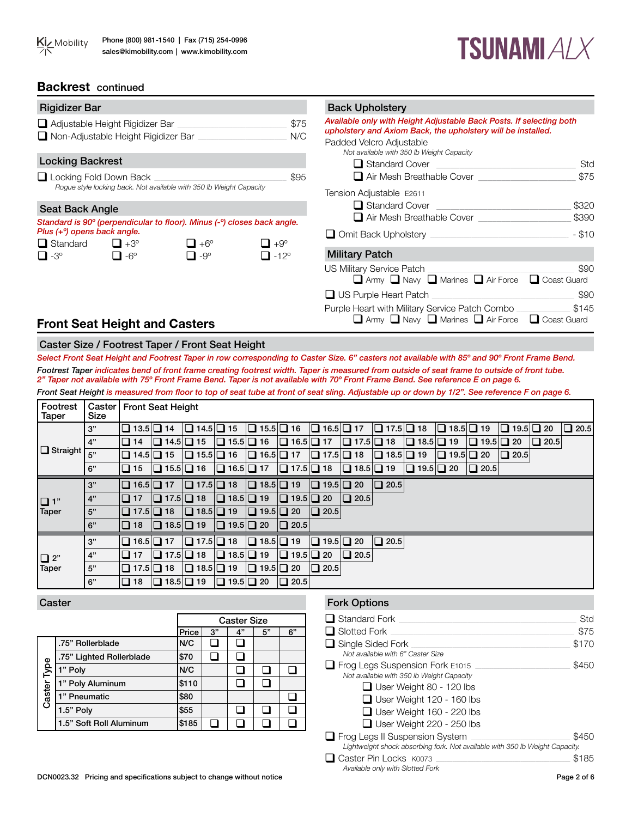



### **Backrest** continued

| <b>Rigidizer Bar</b>                     |                                                                          |                                                                         |                                     | <b>Back Upholstery</b>                                                                                                                                                                                                               |          |
|------------------------------------------|--------------------------------------------------------------------------|-------------------------------------------------------------------------|-------------------------------------|--------------------------------------------------------------------------------------------------------------------------------------------------------------------------------------------------------------------------------------|----------|
|                                          | Adjustable Height Rigidizer Bar<br>□ Non-Adjustable Height Rigidizer Bar |                                                                         | \$75<br>N/C                         | Available only with Height Adjustable Back Posts. If selecting both<br>upholstery and Axiom Back, the upholstery will be installed.<br>Padded Velcro Adjustable<br>Not available with 350 lb Weight Capacity                         |          |
| <b>Locking Backrest</b>                  |                                                                          |                                                                         |                                     | $\Box$ Standard Cover                                                                                                                                                                                                                | Std      |
|                                          | Locking Fold Down Back                                                   |                                                                         | \$95                                | Air Mesh Breathable Cover                                                                                                                                                                                                            | \$75     |
|                                          |                                                                          | Rogue style locking back. Not available with 350 lb Weight Capacity     |                                     | Tension Adjustable E2611                                                                                                                                                                                                             |          |
| <b>Seat Back Angle</b>                   |                                                                          |                                                                         |                                     | $\Box$ Standard Cover                                                                                                                                                                                                                | \$320    |
|                                          |                                                                          | Standard is 90° (perpendicular to floor). Minus (-°) closes back angle. |                                     | $\Box$ Air Mesh Breathable Cover                                                                                                                                                                                                     | \$390    |
| Plus (+ <sup>o</sup> ) opens back angle. |                                                                          |                                                                         |                                     | Omit Back Upholstery <b>Communist Communist Communist Communist Communist Communist Communist Communist Communist Communist Communist Communist Communist Communist Communist Communist Communist Communist Communist Communist </b> | $-$ \$10 |
| $\Box$ Standard $\Box$ +3°<br>$\Box$ -3° | $\Box$ -6°                                                               | $\Box$ +6°<br>$\Box$ -9°                                                | $\Box$ +9°<br>$\Box$ -12 $^{\circ}$ | <b>Military Patch</b>                                                                                                                                                                                                                |          |
|                                          |                                                                          |                                                                         |                                     | US Military Service Patch<br>Army Navy Marines Air Force C Coast Guard                                                                                                                                                               | \$90     |
|                                          |                                                                          |                                                                         |                                     | $\Box$ US Purple Heart Patch $\Box$                                                                                                                                                                                                  | \$90     |
|                                          |                                                                          |                                                                         |                                     | Purple Heart with Military Service Patch Combo                                                                                                                                                                                       | \$145    |
|                                          | <b>Front Seat Height and Casters</b>                                     |                                                                         |                                     | $\Box$ Army $\Box$ Navy $\Box$ Marines $\Box$ Air Force $\Box$ Coast Guard                                                                                                                                                           |          |

# **Front Seat Height and Casters**

#### Caster Size / Footrest Taper / Front Seat Height

*Select Front Seat Height and Footrest Taper in row corresponding to Caster Size. 6" casters not available with 85º and 90º Front Frame Bend. Footrest Taper indicates bend of front frame creating footrest width. Taper is measured from outside of seat frame to outside of front tube. 2" Taper not available with 75º Front Frame Bend. Taper is not available with 70º Front Frame Bend. See reference E on page 6. Front Seat Height is measured from floor to top of seat tube at front of seat sling. Adjustable up or down by 1/2". See reference F on page 6.* 

| Footrest<br><b>Taper</b> | Caster  <br>Size | <b>Front Seat Height</b> |                       |                                             |                       |                                             |                       |                                             |                                                                   |                       |                       |                                     |                       |                                             |             |             |
|--------------------------|------------------|--------------------------|-----------------------|---------------------------------------------|-----------------------|---------------------------------------------|-----------------------|---------------------------------------------|-------------------------------------------------------------------|-----------------------|-----------------------|-------------------------------------|-----------------------|---------------------------------------------|-------------|-------------|
|                          | 3"               | $\Box$ 13.5 $\Box$ 14    |                       | $\boxed{ \square 14.5 \square 15}$          |                       | $\boxed{ \square 15.5} \boxed{ \square 16}$ |                       | $\Box$ 16.5 $\Box$ 17                       |                                                                   | $\Box$ 17.5 $\Box$ 18 |                       | $\boxed{ \square 18.5 \square 19 }$ |                       | $\boxed{ \square 19.5} \boxed{ \square 20}$ |             | $\Box$ 20.5 |
|                          | 4"               | $\Box$ 14                | $\Box$ 14.5 $\Box$ 15 |                                             | $\Box$ 15.5 $\Box$ 16 |                                             | $\Box$ 16.5 $\Box$ 17 |                                             | $\Box$ 17.5 $\Box$ 18                                             |                       | $\Box$ 18.5 $\Box$ 19 |                                     | $\Box$ 19.5 $\Box$ 20 |                                             | $\Box$ 20.5 |             |
| $\Box$ Straight          | 5"               | $\Box$ 14.5 $\Box$ 15    |                       | $\Box$ 15.5 $\Box$ 16                       |                       |                                             |                       |                                             | $\Box$ 16.5 $\Box$ 17 $\Box$ 17.5 $\Box$ 18 $\Box$ 18.5 $\Box$ 19 |                       |                       | $\Box$ 19.5 $\Box$ 20               |                       | $\Box$ 20.5                                 |             |             |
|                          | 6"               | $\Box$ 15                | $\Box$ 15.5 $\Box$ 16 |                                             | $\Box$ 16.5 $\Box$ 17 |                                             | $\Box$ 17.5 $\Box$ 18 |                                             | $\Box$ 18.5 $\Box$ 19                                             |                       | $\Box$ 19.5 $\Box$ 20 |                                     | $\Box$ 20.5           |                                             |             |             |
|                          | 3"               | $\Box$ 16.5 $\Box$ 17    |                       | $\boxed{ \square 17.5 \square 18 }$         |                       | $\Box$ 18.5 $\Box$ 19                       |                       | $\boxed{ \square 19.5} \boxed{ \square 20}$ |                                                                   | $\Box$ 20.5           |                       |                                     |                       |                                             |             |             |
| $\Box$ 1"                | 4"               | $\Box$ 17                | $\Box$ 17.5 $\Box$ 18 |                                             | $\Box$ 18.5 $\Box$ 19 |                                             | $\Box$ 19.5 $\Box$ 20 |                                             | $\Box$ 20.5                                                       |                       |                       |                                     |                       |                                             |             |             |
| <b>Taper</b>             | 5"               | $\Box$ 17.5 $\Box$ 18    |                       | $\Box$ 18.5 $\Box$ 19 $\Box$ 19.5 $\Box$ 20 |                       |                                             |                       | $\Box$ 20.5                                 |                                                                   |                       |                       |                                     |                       |                                             |             |             |
|                          | 6"               | $\Box$ 18                | $\Box$ 18.5 $\Box$ 19 |                                             | $\Box$ 19.5 $\Box$ 20 |                                             | $\Box$ 20.5           |                                             |                                                                   |                       |                       |                                     |                       |                                             |             |             |
|                          | 3"               | $\Box$ 16.5 $\Box$ 17    |                       | $\Box$ 17.5 $\Box$ 18                       |                       | $\Box$ 18.5 $\Box$ 19                       |                       | $\Box$ 19.5 $\Box$ 20                       |                                                                   | $\Box$ 20.5           |                       |                                     |                       |                                             |             |             |
| $\Box$ 2"                | 4"               | $\Box$ 17                | $\Box$ 17.5 $\Box$ 18 |                                             | $\Box$ 18.5 $\Box$ 19 |                                             | $\Box$ 19.5 $\Box$ 20 |                                             | $\Box$ 20.5                                                       |                       |                       |                                     |                       |                                             |             |             |
| Taper                    | 5"               | $\Box$ 17.5 $\Box$ 18    |                       | $\Box$ 18.5 $\Box$ 19                       |                       | $\Box$ 19.5 $\Box$ 20                       |                       | $\Box$ 20.5                                 |                                                                   |                       |                       |                                     |                       |                                             |             |             |
|                          | 6"               | $\Box$ 18                | $\Box$ 18.5 $\Box$ 19 |                                             | $\Box$ 19.5 $\Box$ 20 |                                             | $\Box$ 20.5           |                                             |                                                                   |                       |                       |                                     |                       |                                             |             |             |

#### Caster

|             |                          |       |    | <b>Caster Size</b> |    |    |
|-------------|--------------------------|-------|----|--------------------|----|----|
|             |                          | Price | 3" | 4"                 | 5" | 6" |
|             | .75" Rollerblade         | N/C   |    |                    |    |    |
|             | .75" Lighted Rollerblade | \$70  |    |                    |    |    |
|             | 1" Poly                  | N/C   |    |                    |    |    |
| Caster Type | 1" Poly Aluminum         | \$110 |    |                    |    |    |
|             | 1" Pneumatic             | \$80  |    |                    |    |    |
|             | 1.5" Poly                | \$55  |    |                    |    |    |
|             | 1.5" Soft Roll Aluminum  | \$185 |    |                    |    |    |

#### Fork Options

| $\Box$ Standard Fork                                                                                                  | Std   |
|-----------------------------------------------------------------------------------------------------------------------|-------|
| $\Box$ Slotted Fork                                                                                                   | \$75  |
| $\Box$ Single Sided Fork<br>Not available with 6" Caster Size                                                         | \$170 |
| $\Box$ Frog Legs Suspension Fork E1015<br>Not available with 350 lb Weight Capacity                                   | \$450 |
| $\Box$ User Weight 80 - 120 lbs                                                                                       |       |
| $\Box$ User Weight 120 - 160 lbs                                                                                      |       |
| $\Box$ User Weight 160 - 220 lbs                                                                                      |       |
| $\Box$ User Weight 220 - 250 lbs                                                                                      |       |
| $\Box$ Frog Legs II Suspension System<br>Lightweight shock absorbing fork. Not available with 350 lb Weight Capacity. | \$450 |
| Caster Pin Locks K0073<br>Available only with Slotted Fork                                                            | \$185 |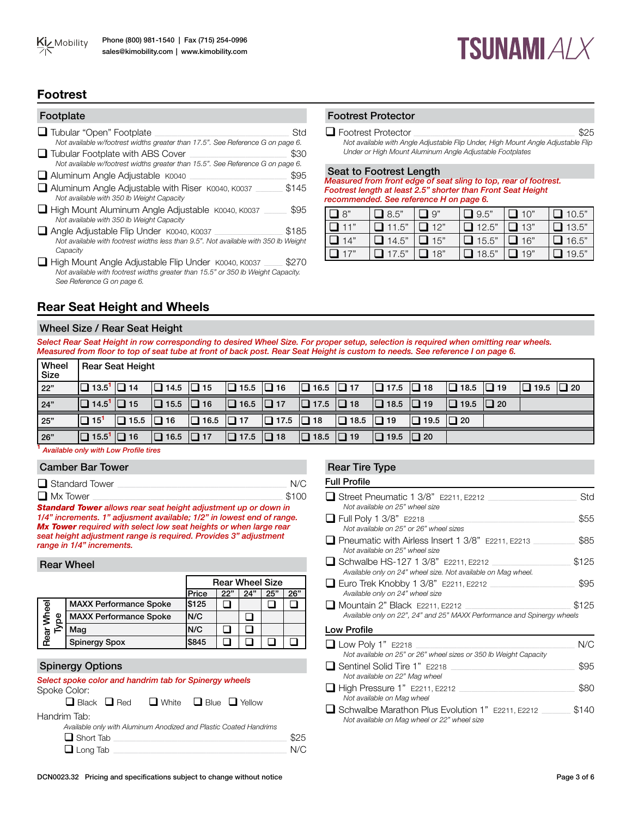

# **TSUNAMI** A/  $X$

# **Footrest**

| Footplate                                                                                                                                   |       |
|---------------------------------------------------------------------------------------------------------------------------------------------|-------|
| <b>□</b> Tubular "Open" Footplate<br>Not available w/footrest widths greater than 17.5". See Reference G on page 6.                         | Std   |
| □ Tubular Footplate with ABS Cover<br>Not available w/footrest widths greater than 15.5". See Reference G on page 6.                        | \$30  |
| Aluminum Angle Adjustable K0040                                                                                                             | \$95  |
| Aluminum Angle Adjustable with Riser K0040, K0037<br>Not available with 350 lb Weight Capacity                                              | \$145 |
| High Mount Aluminum Angle Adjustable K0040, K0037<br>Not available with 350 lb Weight Capacity                                              | \$95  |
| Angle Adjustable Flip Under K0040, K0037<br>Not available with footrest widths less than 9.5". Not available with 350 lb Weight<br>Capacity | \$185 |
| High Mount Angle Adjustable Flip Under K0040, K0037                                                                                         |       |

High Mount Angle Adjustable Flip Under K0040, K0037 \_\_\_\_\_\_\_ \$270<br>*Not available with footrest widths greater than 15.5" or 350 lb Weight Capacity. See Reference G on page 6.*

# Footrest Protector

 $\Box$  Footrest Protector  $\Box$ 

*Not available with Angle Adjustable Flip Under, High Mount Angle Adjustable Flip Under or High Mount Aluminum Angle Adjustable Footplates*

Seat to Footrest Length

*Measured from front edge of seat sling to top, rear of footrest. Footrest length at least 2.5" shorter than Front Seat Height recommended. See reference H on page 6.* 

| $\Box$ 8"     | $\Box$ 8.5"  | $\Box$ 9"     | $\Box$ 9.5"  | $\Box$ 10" | $\Box$ 10.5" |
|---------------|--------------|---------------|--------------|------------|--------------|
| I □ 11"       | $\Box$ 11.5" | $\Box$ 12"    | $\Box$ 12.5" | $\Box$ 13" | $\Box$ 13.5" |
| $\Box$ 14"    | $\Box$ 14.5" | $\square$ 15" | $\Box$ 15.5" | $\Box$ 16" | $\Box$ 16.5" |
| $\square$ 17" | $\Box$ 17.5" | $\Box$ 18"    | $\Box$ 18.5" | $\Box$ 19" | $\Box$ 19.5" |

# **Rear Seat Height and Wheels**

#### Wheel Size / Rear Seat Height

*Select Rear Seat Height in row corresponding to desired Wheel Size. For proper setup, selection is required when omitting rear wheels. Measured from floor to top of seat tube at front of back post. Rear Seat Height is custom to needs. See reference I on page 6.* 

| <b>Wheel</b><br>Size |                                      | <b>Rear Seat Height</b> |                       |                       |                                                 |                       |                       |                       |                       |             |                       |           |                       |  |
|----------------------|--------------------------------------|-------------------------|-----------------------|-----------------------|-------------------------------------------------|-----------------------|-----------------------|-----------------------|-----------------------|-------------|-----------------------|-----------|-----------------------|--|
| 22"                  | $\Box$ 13.5 <sup>1</sup> $\Box$ 14   |                         | $\Box$ 14.5 $\Box$ 15 |                       | $\boxed{ \square 15.5 } \boxed{ \square 16 }$   |                       | $\Box$ 16.5 $\Box$ 17 |                       | $\Box$ 17.5 $\Box$ 18 |             | $\Box$ 18.5 $\Box$ 19 |           | $\Box$ 19.5 $\Box$ 20 |  |
| 24"                  | $\Box$ 14.5 <sup>1</sup> $\Box$ 15   |                         | $\Box$ 15.5 $\Box$ 16 |                       | $\boxed{ \square 16.5 }$ $\boxed{ \square 17 }$ |                       | $\Box$ 17.5 $\Box$ 18 |                       | $\Box$ 18.5           | $\Box$ 19   | $\Box$ 19.5           | $\Box$ 20 |                       |  |
| 25"                  | $\Box$ 15 <sup>1</sup>               | $\Box$ 15.5             | $\Box$ 16             | $\Box$ 16.5 $\Box$ 17 |                                                 | $\Box$ 17.5 $\Box$ 18 |                       | $\Box$ 18.5 $\Box$ 19 |                       | $\Box$ 19.5 | $\Box$ 20             |           |                       |  |
| 26"                  | $\boxed{ \square 15.5^1 \square 16}$ |                         | $\Box$ 16.5 $\Box$ 17 |                       | $\boxed{ \square 17.5 \square 18}$              |                       | $\Box$ 18.5 $\Box$ 19 |                       | $\Box$ 19.5           | $\Box$ 20   |                       |           |                       |  |

**<sup>1</sup>** *Available only with Low Profile tires*

#### Camber Bar Tower

| $\Box$ Standard Tower |       |
|-----------------------|-------|
| $\Box$ Mx Tower       | \$100 |

*Standard Tower allows rear seat height adjustment up or down in 1/4" increments. 1" adjusment available; 1/2" in lowest end of range. Mx Tower required with select low seat heights or when large rear seat height adjustment range is required. Provides 3" adjustment range in 1/4" increments.*

#### Rear Wheel

|            |                               |              | <b>Rear Wheel Size</b> |     |     |     |
|------------|-------------------------------|--------------|------------------------|-----|-----|-----|
|            |                               | <b>Price</b> | 22"                    | 24" | 25" | 26" |
|            | <b>MAXX Performance Spoke</b> | \$125        |                        |     |     |     |
| Mheel<br>Φ | <b>MAXX Performance Spoke</b> | IN/C         |                        |     |     |     |
|            | Mag                           | IN/C         |                        |     |     |     |
| Rea        | <b>Spinergy Spox</b>          | \$845        |                        |     |     |     |

#### Spinergy Options

#### *Select spoke color and handrim tab for Spinergy wheels* Spoke Color:

|                  | $\Box$ Black $\Box$ Red $\Box$ White $\Box$ Blue $\Box$ Yellow |  |                                                                   |      |
|------------------|----------------------------------------------------------------|--|-------------------------------------------------------------------|------|
| Handrim Tab:     |                                                                |  |                                                                   |      |
|                  |                                                                |  | Available only with Aluminum Anodized and Plastic Coated Handrims |      |
| $\Box$ Short Tab |                                                                |  |                                                                   | \$25 |
| $\Box$ Long Tab  |                                                                |  |                                                                   | N/C  |

#### Rear Tire Type

| ■ Street Pneumatic 1 3/8" E2211, E2212<br>Not available on 25" wheel size                                        | Std   |
|------------------------------------------------------------------------------------------------------------------|-------|
| $\Box$ Full Poly 1 3/8" E2218<br>Not available on 25" or 26" wheel sizes                                         | \$55  |
| $\Box$ Pneumatic with Airless Insert 1 3/8" $E$ 2211. E2213<br>Not available on 25" wheel size                   | \$85  |
| □ Schwalbe HS-127 1 3/8" E2211, E2212<br>Available only on 24" wheel size. Not available on Mag wheel.           | \$125 |
| $\Box$ Euro Trek Knobby 1 3/8" E2211, E2212<br>Available only on 24" wheel size                                  | \$95  |
| $\Box$ Mountain 2" Black E2211, E2212<br>Available only on 22", 24" and 25" MAXX Performance and Spinergy wheels | \$125 |
| Low Profile                                                                                                      |       |
| $\Box$ Low Poly 1" E2218<br>Not available on 25" or 26" wheel sizes or 350 lb Weight Capacity                    | N/C   |
| □ Sentinel Solid Tire 1" E2218<br>Not available on 22" Mag wheel                                                 | \$95  |
| $\Box$ High Pressure 1" E2211, E2212                                                                             |       |

*Not available on Mag wheel* q Schwalbe Marathon Plus Evolution 1" E2211, E2212 \_\_\_\_\_\_\_\_\_\_\_\_\_\_ \$140 *Not available on Mag wheel or 22" wheel size*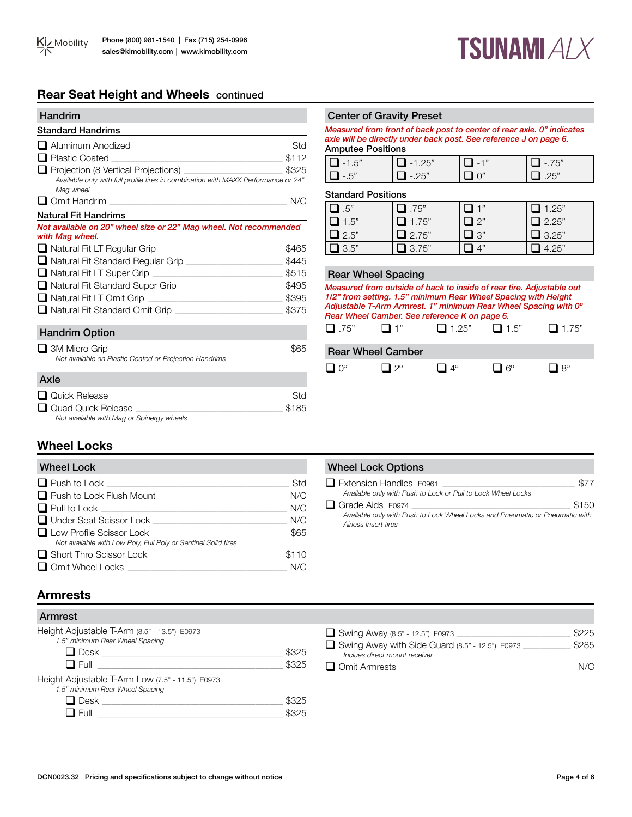# **TSUNAMI ALX**

# **Rear Seat Height and Wheels** continued

| <b>Handrim</b>                                                                                                                         |       |
|----------------------------------------------------------------------------------------------------------------------------------------|-------|
| <b>Standard Handrims</b>                                                                                                               |       |
| Aluminum Anodized                                                                                                                      | Std   |
| <b>Plastic Coated</b><br>the control of the control of the control of the control of the control of                                    | \$112 |
| Projection (8 Vertical Projections)<br>Available only with full profile tires in combination with MAXX Performance or 24"<br>Mag wheel | \$325 |
| $\Box$ Omit Handrim                                                                                                                    | N/C   |
| <b>Natural Fit Handrims</b>                                                                                                            |       |
| Not available on 20" wheel size or 22" Mag wheel. Not recommended<br>with Mag wheel.                                                   |       |
| $\Box$ Natural Fit LT Regular Grip $\Box$                                                                                              | \$465 |
| □ Natural Fit Standard Reqular Grip                                                                                                    | \$445 |
| $\Box$ Natural Fit LT Super Grip                                                                                                       | \$515 |
| □ Natural Fit Standard Super Grip                                                                                                      | \$495 |
| $\Box$ Natural Fit LT Omit Grip<br><u> 1989 - Johann John Stein, markin f</u>                                                          | \$395 |
| □ Natural Fit Standard Omit Grip                                                                                                       | \$375 |
| <b>Handrim Option</b>                                                                                                                  |       |
| 3M Micro Grip<br>Not available on Plastic Coated or Proiection Handrims                                                                | \$65  |

# Center of Gravity Preset

*Measured from front of back post to center of rear axle. 0" indicates axle will be directly under back post. See reference J on page 6.* Amputee Positions

| $E^r$<br>$\sim$    | $\overline{\phantom{0}}$ | $\overline{\phantom{a}}$ |               |
|--------------------|--------------------------|--------------------------|---------------|
| $E^{\prime\prime}$ | $\cdot$ ) $F''$          |                          | $\mathcal{L}$ |

#### Standard Positions

| $\Box$ .5"             | $\Box$ .75"  | "ו ר            | $\Box$ 1.25" |
|------------------------|--------------|-----------------|--------------|
| $\overline{\Box}$ 1.5" | $\Box$ 1.75" | $\mathbf{1}$ 2" | $\Box$ 2.25" |
| $\Box$ 2.5"            | $\Box$ 2.75" | "י ב            | $\Box$ 3.25" |
| $\Box$ 3.5"            | 13.75"       | $\Lambda$ "     | 4.25"        |

#### Rear Wheel Spacing

*Measured from outside of back to inside of rear tire. Adjustable out 1/2" from setting. 1.5" minimum Rear Wheel Spacing with Height Adjustable T-Arm Armrest. 1" minimum Rear Wheel Spacing with 0º Rear Wheel Camber. See reference K on page 6.*



### Rear Wheel Camber



#### q Quick Release \_\_\_\_\_\_\_\_\_\_\_\_\_\_\_\_\_\_\_\_\_\_\_\_\_\_\_\_\_\_\_\_\_\_\_\_\_\_\_\_\_\_\_\_\_\_\_\_\_\_\_\_\_\_\_\_\_\_\_\_\_\_\_\_\_\_\_\_\_\_\_\_\_\_\_\_\_\_\_\_\_\_\_\_\_\_ Std  $\Box$  Quad Quick Release *Not available with Mag or Spinergy wheels*

Axle

# **Wheel Locks**

| <b>Wheel Lock</b>                                              |       |
|----------------------------------------------------------------|-------|
| $\Box$ Push to Lock                                            | Std   |
| $\Box$ Push to Lock Flush Mount                                | N/C   |
| $\Box$ Pull to Lock                                            | N/C   |
| $\Box$ Under Seat Scissor Lock                                 | N/C   |
| $\Box$ Low Profile Scissor Lock                                | \$65  |
| Not available with Low Poly, Full Poly or Sentinel Solid tires |       |
| $\Box$ Short Thro Scissor Lock                                 | \$110 |
| $\Box$ Omit Wheel Locks                                        | N/C   |

# **Wheel Lock Options**

| $\Box$ Extension Handles $E0961$                                             | \$77  |
|------------------------------------------------------------------------------|-------|
| Available only with Push to Lock or Pull to Lock Wheel Locks                 |       |
| $\Box$ Grade Aids E0974                                                      | \$150 |
| Available only with Push to Lock Wheel Locks and Pneumatic or Pneumatic with |       |
| Airless Insert tires                                                         |       |

# **Armrests**

| Armrest                                                                                                          |                |                                                                                                                                             |                       |
|------------------------------------------------------------------------------------------------------------------|----------------|---------------------------------------------------------------------------------------------------------------------------------------------|-----------------------|
| Height Adjustable T-Arm (8.5" - 13.5") E0973<br>1.5" minimum Rear Wheel Spacing<br>$\square$ Desk<br>$\Box$ Full | \$325<br>\$325 | Swing Away (8.5" - 12.5") E0973<br>Swing Away with Side Guard (8.5" - 12.5") E0973<br>Inclues direct mount receiver<br>$\Box$ Omit Armrests | \$225<br>\$285<br>N/C |
| Height Adjustable T-Arm Low (7.5" - 11.5") E0973<br>1.5" minimum Rear Wheel Spacing                              |                |                                                                                                                                             |                       |
| $\square$ Desk                                                                                                   | \$325          |                                                                                                                                             |                       |
| $\Box$ Full                                                                                                      | \$325          |                                                                                                                                             |                       |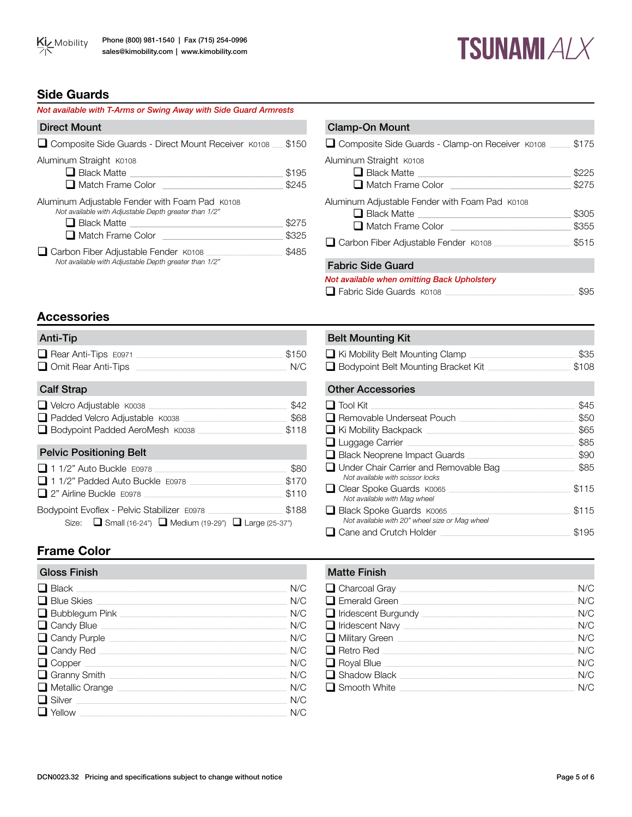# **TSUNAMI ALX**

# **Side Guards**

| Not available with T-Arms or Swing Away with Side Guard Armrests                                                              |                |
|-------------------------------------------------------------------------------------------------------------------------------|----------------|
| <b>Direct Mount</b>                                                                                                           |                |
| Composite Side Guards - Direct Mount Receiver K0108 _ \$150                                                                   |                |
| Aluminum Straight K0108<br>$\Box$ Black Matte<br>□ Match Frame Color                                                          | \$195<br>\$245 |
| Aluminum Adjustable Fender with Foam Pad K0108<br>Not available with Adjustable Depth greater than 1/2"<br>$\Box$ Black Matte | \$275          |
| $\Box$ Match Frame Color                                                                                                      | \$325          |
| $\Box$ Carbon Fiber Adjustable Fender $K0108$<br>Not available with Adjustable Depth greater than 1/2"                        | \$485          |

| <b>Clamp-On Mount</b>                                                                        |                |
|----------------------------------------------------------------------------------------------|----------------|
| □ Composite Side Guards - Clamp-on Receiver K0108                                            | \$175          |
| Aluminum Straight K0108<br>$\Box$ Black Matte<br>Match Frame Color <u>New York Color</u>     | \$225<br>\$275 |
| Aluminum Adjustable Fender with Foam Pad K0108<br>Match Frame Color <b>Match Frame Color</b> | \$305<br>\$355 |
| Carbon Fiber Adjustable Fender K0108                                                         | \$515          |
| <b>Fabric Side Guard</b>                                                                     |                |
| Not available when omitting Back Upholstery<br>$\Box$ Fabric Side Guards $K0108$             |                |

# **Accessories**

| Anti-Tip                                                                                                                |                        |
|-------------------------------------------------------------------------------------------------------------------------|------------------------|
| $\Box$ Rear Anti-Tips $E0971$<br>$\Box$ Omit Rear Anti-Tips                                                             | \$150<br>N/C           |
| <b>Calf Strap</b>                                                                                                       |                        |
| □ Velcro Adjustable K0038<br>□ Padded Velcro Adjustable K0038<br>□ Bodypoint Padded AeroMesh K0038                      | \$42<br>\$68<br>\$118  |
| <b>Pelvic Positioning Belt</b>                                                                                          |                        |
| □ 1 1/2" Auto Buckle F0978<br>$\Box$ 1 1/2" Padded Auto Buckle $E$ 0978<br>□ 2" Airline Buckle E0978                    | \$80<br>\$170<br>\$110 |
| Bodypoint Evoflex - Pelvic Stabilizer E0978<br>Size: $\Box$ Small (16-24") $\Box$ Medium (19-29") $\Box$ Large (25-37") | \$188                  |

# **Frame Color**

| <b>Gloss Finish</b>                 | <b>Matte Finish</b>  |
|-------------------------------------|----------------------|
| $\Box$ Black<br>N/C                 | $\Box$ Charcoal Gr   |
| Blue Skies<br>N/C                   | $\Box$ Emerald Gre   |
| $\Box$ Bubblegum Pink $\Box$<br>N/C | $\Box$ Iridescent B  |
| Candy Blue<br>N/C                   | $\Box$ Iridescent N  |
| Candy Purple<br>N/C                 | $\Box$ Military Gree |
| Candy Red<br>N/C                    | $\Box$ Retro Red     |
| $\Box$ Copper<br>N/C                | Royal Blue           |
| N/C                                 | $\Box$ Shadow Bla    |
| $\Box$ Metallic Orange<br>N/C       | $\Box$ Smooth Wh     |
| $\Box$ Silver<br>N/C                |                      |
| $\Box$ Yellow $\Box$<br>N/C         |                      |

| <b>Belt Mounting Kit</b>                                                  |                       |
|---------------------------------------------------------------------------|-----------------------|
| $\Box$ Ki Mobility Belt Mounting Clamp                                    | \$35                  |
| □ Bodypoint Belt Mounting Bracket Kit                                     | \$108                 |
| <b>Other Accessories</b>                                                  |                       |
| $\Box$ Tool Kit                                                           | \$45                  |
| □ Removable Underseat Pouch                                               | \$50                  |
| $\Box$ Ki Mobility Backpack $\Box$                                        | \$65                  |
| $\Box$ Luggage Carrier                                                    | \$85                  |
| $\Box$ Black Neoprene Impact Guards                                       | \$90                  |
| Under Chair Carrier and Removable Bag<br>Not available with scissor locks | \$85                  |
|                                                                           | $\uparrow$ $\uparrow$ |

| $\Box$ Clear Spoke Guards $K0065$              | \$115 |
|------------------------------------------------|-------|
| Not available with Mag wheel                   |       |
| Black Spoke Guards K0065                       | \$115 |
| Not available with 20" wheel size or Mag wheel |       |
| $\Box$ Cane and Crutch Holder                  | \$195 |
|                                                |       |

| <b>Matte Finish</b>               |     |
|-----------------------------------|-----|
| $\Box$ Charcoal Gray $\Box$       | N/C |
| $\Box$ Emerald Green              | N/C |
| $\Box$ Iridescent Burgundy $\Box$ | N/C |
| $\Box$ Iridescent Navy            | N/C |
| $\Box$ Military Green             | N/C |
| $\Box$ Retro Red                  | N/C |
| $\Box$ Royal Blue                 | N/C |
| $\Box$ Shadow Black $\Box$        | N/C |
| $\Box$ Smooth White               | N/C |